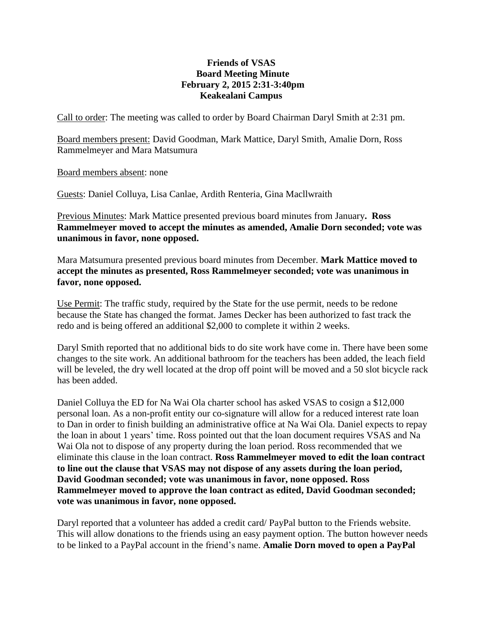## **Friends of VSAS Board Meeting Minute February 2, 2015 2:31-3:40pm Keakealani Campus**

Call to order: The meeting was called to order by Board Chairman Daryl Smith at 2:31 pm.

Board members present: David Goodman, Mark Mattice, Daryl Smith, Amalie Dorn, Ross Rammelmeyer and Mara Matsumura

Board members absent: none

Guests: Daniel Colluya, Lisa Canlae, Ardith Renteria, Gina Macllwraith

Previous Minutes: Mark Mattice presented previous board minutes from January**. Ross Rammelmeyer moved to accept the minutes as amended, Amalie Dorn seconded; vote was unanimous in favor, none opposed.**

Mara Matsumura presented previous board minutes from December. **Mark Mattice moved to accept the minutes as presented, Ross Rammelmeyer seconded; vote was unanimous in favor, none opposed.**

Use Permit: The traffic study, required by the State for the use permit, needs to be redone because the State has changed the format. James Decker has been authorized to fast track the redo and is being offered an additional \$2,000 to complete it within 2 weeks.

Daryl Smith reported that no additional bids to do site work have come in. There have been some changes to the site work. An additional bathroom for the teachers has been added, the leach field will be leveled, the dry well located at the drop off point will be moved and a 50 slot bicycle rack has been added.

Daniel Colluya the ED for Na Wai Ola charter school has asked VSAS to cosign a \$12,000 personal loan. As a non-profit entity our co-signature will allow for a reduced interest rate loan to Dan in order to finish building an administrative office at Na Wai Ola. Daniel expects to repay the loan in about 1 years' time. Ross pointed out that the loan document requires VSAS and Na Wai Ola not to dispose of any property during the loan period. Ross recommended that we eliminate this clause in the loan contract. **Ross Rammelmeyer moved to edit the loan contract to line out the clause that VSAS may not dispose of any assets during the loan period, David Goodman seconded; vote was unanimous in favor, none opposed. Ross Rammelmeyer moved to approve the loan contract as edited, David Goodman seconded; vote was unanimous in favor, none opposed.**

Daryl reported that a volunteer has added a credit card/ PayPal button to the Friends website. This will allow donations to the friends using an easy payment option. The button however needs to be linked to a PayPal account in the friend's name. **Amalie Dorn moved to open a PayPal**